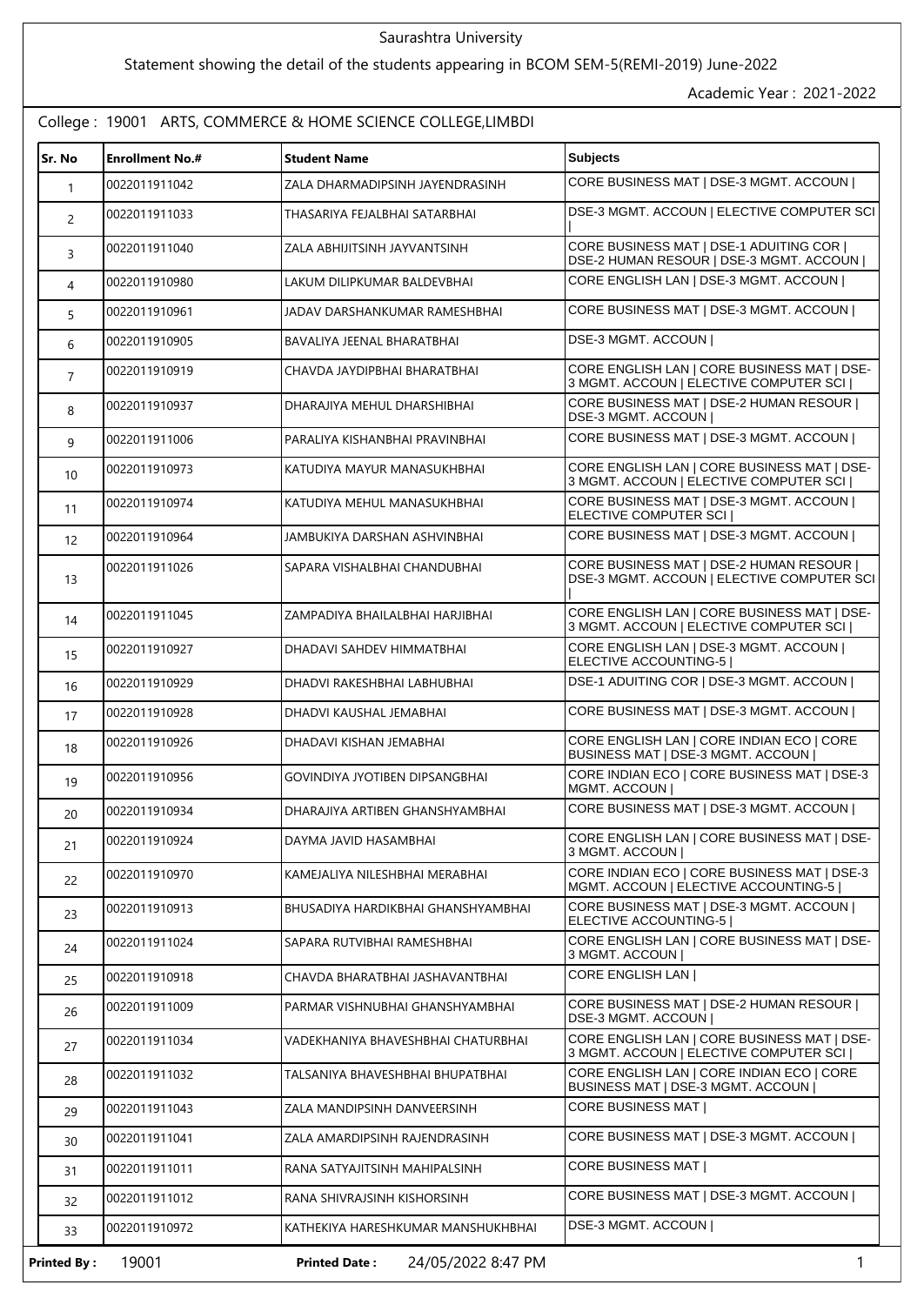## Saurashtra University

## Statement showing the detail of the students appearing in BCOM SEM-5(REMI-2019) June-2022

Academic Year : 2021-2022

## College : 19001 ARTS, COMMERCE & HOME SCIENCE COLLEGE,LIMBDI

| Sr. No         | <b>Enrollment No.#</b> | <b>Student Name</b>                | <b>Subjects</b>                                                                         |
|----------------|------------------------|------------------------------------|-----------------------------------------------------------------------------------------|
| $\mathbf{1}$   | 0022011911042          | ZALA DHARMADIPSINH JAYENDRASINH    | CORE BUSINESS MAT   DSE-3 MGMT. ACCOUN                                                  |
| $\overline{c}$ | 0022011911033          | THASARIYA FEJALBHAI SATARBHAI      | DSE-3 MGMT. ACCOUN   ELECTIVE COMPUTER SCI                                              |
| 3              | 0022011911040          | ZALA ABHIJITSINH JAYVANTSINH       | CORE BUSINESS MAT   DSE-1 ADUITING COR  <br>DSE-2 HUMAN RESOUR   DSE-3 MGMT. ACCOUN     |
| 4              | 0022011910980          | LAKUM DILIPKUMAR BALDEVBHAI        | CORE ENGLISH LAN   DSE-3 MGMT. ACCOUN                                                   |
| 5              | 0022011910961          | JADAV DARSHANKUMAR RAMESHBHAI      | CORE BUSINESS MAT   DSE-3 MGMT. ACCOUN                                                  |
| 6              | 0022011910905          | BAVALIYA JEENAL BHARATBHAI         | DSE-3 MGMT. ACCOUN                                                                      |
| $\overline{7}$ | 0022011910919          | CHAVDA JAYDIPBHAI BHARATBHAI       | CORE ENGLISH LAN   CORE BUSINESS MAT   DSE-<br>3 MGMT. ACCOUN   ELECTIVE COMPUTER SCI   |
| 8              | 0022011910937          | DHARAJIYA MEHUL DHARSHIBHAI        | CORE BUSINESS MAT   DSE-2 HUMAN RESOUR  <br>DSE-3 MGMT. ACCOUN                          |
| 9              | 0022011911006          | PARALIYA KISHANBHAI PRAVINBHAI     | CORE BUSINESS MAT   DSE-3 MGMT. ACCOUN                                                  |
| 10             | 0022011910973          | KATUDIYA MAYUR MANASUKHBHAI        | CORE ENGLISH LAN   CORE BUSINESS MAT   DSE-<br>3 MGMT, ACCOUN I ELECTIVE COMPUTER SCI I |
| 11             | 0022011910974          | KATUDIYA MEHUL MANASUKHBHAI        | CORE BUSINESS MAT   DSE-3 MGMT. ACCOUN  <br>ELECTIVE COMPUTER SCI                       |
| 12             | 0022011910964          | JAMBUKIYA DARSHAN ASHVINBHAI       | CORE BUSINESS MAT   DSE-3 MGMT. ACCOUN                                                  |
| 13             | 0022011911026          | SAPARA VISHALBHAI CHANDUBHAI       | CORE BUSINESS MAT   DSE-2 HUMAN RESOUR  <br>DSE-3 MGMT. ACCOUN   ELECTIVE COMPUTER SCI  |
| 14             | 0022011911045          | ZAMPADIYA BHAILALBHAI HARJIBHAI    | CORE ENGLISH LAN   CORE BUSINESS MAT   DSE-<br>3 MGMT. ACCOUN   ELECTIVE COMPUTER SCI   |
| 15             | 0022011910927          | DHADAVI SAHDEV HIMMATBHAI          | CORE ENGLISH LAN   DSE-3 MGMT. ACCOUN  <br>ELECTIVE ACCOUNTING-5                        |
| 16             | 0022011910929          | DHADVI RAKESHBHAI LABHUBHAI        | DSE-1 ADUITING COR   DSE-3 MGMT. ACCOUN                                                 |
| 17             | 0022011910928          | DHADVI KAUSHAL JEMABHAI            | CORE BUSINESS MAT   DSE-3 MGMT. ACCOUN                                                  |
| 18             | 0022011910926          | DHADAVI KISHAN JEMABHAI            | CORE ENGLISH LAN   CORE INDIAN ECO   CORE<br>BUSINESS MAT   DSE-3 MGMT. ACCOUN          |
| 19             | 0022011910956          | GOVINDIYA JYOTIBEN DIPSANGBHAI     | CORE INDIAN ECO   CORE BUSINESS MAT   DSE-3<br><b>MGMT, ACCOUN I</b>                    |
| 20             | 0022011910934          | DHARAJIYA ARTIBEN GHANSHYAMBHAI    | CORE BUSINESS MAT   DSE-3 MGMT. ACCOUN                                                  |
| 21             | 0022011910924          | DAYMA JAVID HASAMBHAI              | CORE ENGLISH LAN   CORE BUSINESS MAT   DSE-<br>3 MGMT. ACCOUN                           |
| 22             | 0022011910970          | KAMEJALIYA NILESHBHAI MERABHAI     | CORE INDIAN ECO   CORE BUSINESS MAT   DSE-3<br>MGMT. ACCOUN   ELECTIVE ACCOUNTING-5     |
| 23             | 0022011910913          | BHUSADIYA HARDIKBHAI GHANSHYAMBHAI | CORE BUSINESS MAT   DSE-3 MGMT. ACCOUN  <br>ELECTIVE ACCOUNTING-5                       |
| 24             | 0022011911024          | SAPARA RUTVIBHAI RAMESHBHAI        | CORE ENGLISH LAN   CORE BUSINESS MAT   DSE-<br>3 MGMT. ACCOUN                           |
| 25             | 0022011910918          | CHAVDA BHARATBHAI JASHAVANTBHAI    | CORE ENGLISH LAN                                                                        |
| 26             | 0022011911009          | PARMAR VISHNUBHAI GHANSHYAMBHAI    | CORE BUSINESS MAT   DSE-2 HUMAN RESOUR  <br>DSE-3 MGMT. ACCOUN                          |
| 27             | 0022011911034          | VADEKHANIYA BHAVESHBHAI CHATURBHAI | CORE ENGLISH LAN   CORE BUSINESS MAT   DSE-<br>3 MGMT. ACCOUN   ELECTIVE COMPUTER SCI   |
| 28             | 0022011911032          | TALSANIYA BHAVESHBHAI BHUPATBHAI   | CORE ENGLISH LAN   CORE INDIAN ECO   CORE<br>BUSINESS MAT   DSE-3 MGMT. ACCOUN          |
| 29             | 0022011911043          | ZALA MANDIPSINH DANVEERSINH        | CORE BUSINESS MAT                                                                       |
| 30             | 0022011911041          | ZALA AMARDIPSINH RAJENDRASINH      | CORE BUSINESS MAT   DSE-3 MGMT. ACCOUN                                                  |
| 31             | 0022011911011          | RANA SATYAJITSINH MAHIPALSINH      | CORE BUSINESS MAT                                                                       |
| 32             | 0022011911012          | RANA SHIVRAJSINH KISHORSINH        | CORE BUSINESS MAT   DSE-3 MGMT. ACCOUN                                                  |
| 33             | 0022011910972          | KATHEKIYA HARESHKUMAR MANSHUKHBHAI | DSE-3 MGMT. ACCOUN                                                                      |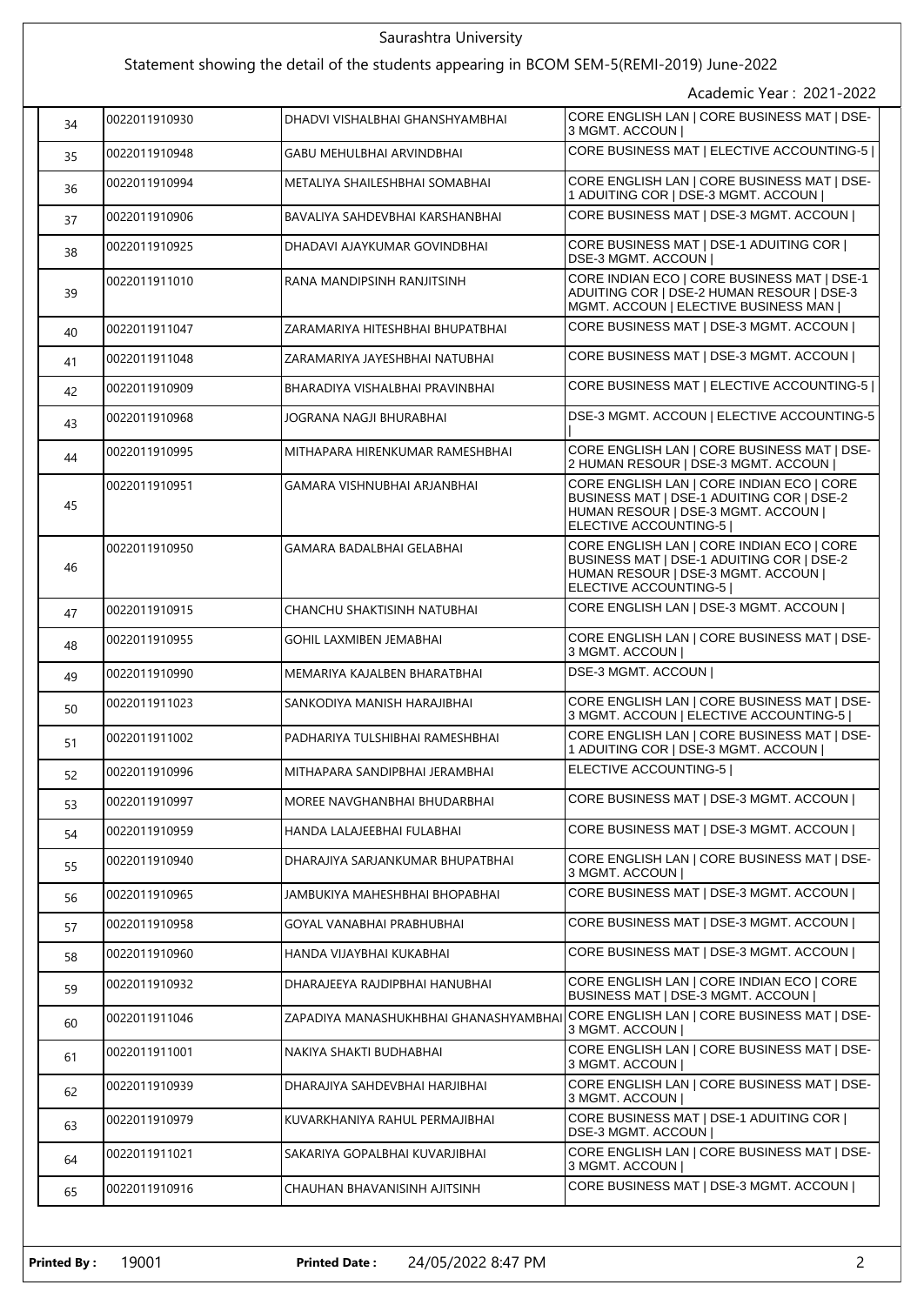| Saurashtra University                                                                     |               |                                       |                                                                                                                                                        |  |  |
|-------------------------------------------------------------------------------------------|---------------|---------------------------------------|--------------------------------------------------------------------------------------------------------------------------------------------------------|--|--|
| Statement showing the detail of the students appearing in BCOM SEM-5(REMI-2019) June-2022 |               |                                       |                                                                                                                                                        |  |  |
|                                                                                           |               |                                       | Academic Year: 2021-2022                                                                                                                               |  |  |
| 34                                                                                        | 0022011910930 | DHADVI VISHALBHAI GHANSHYAMBHAI       | CORE ENGLISH LAN   CORE BUSINESS MAT   DSE-<br>3 MGMT. ACCOUN                                                                                          |  |  |
| 35                                                                                        | 0022011910948 | GABU MEHULBHAI ARVINDBHAI             | CORE BUSINESS MAT   ELECTIVE ACCOUNTING-5                                                                                                              |  |  |
| 36                                                                                        | 0022011910994 | METALIYA SHAILESHBHAI SOMABHAI        | CORE ENGLISH LAN   CORE BUSINESS MAT   DSE-<br>1 ADUITING COR   DSE-3 MGMT. ACCOUN                                                                     |  |  |
| 37                                                                                        | 0022011910906 | BAVALIYA SAHDEVBHAI KARSHANBHAI       | CORE BUSINESS MAT   DSE-3 MGMT. ACCOUN                                                                                                                 |  |  |
| 38                                                                                        | 0022011910925 | DHADAVI AJAYKUMAR GOVINDBHAI          | CORE BUSINESS MAT   DSE-1 ADUITING COR  <br>DSE-3 MGMT. ACCOUN                                                                                         |  |  |
| 39                                                                                        | 0022011911010 | RANA MANDIPSINH RANJITSINH            | CORE INDIAN ECO   CORE BUSINESS MAT   DSE-1<br>ADUITING COR   DSE-2 HUMAN RESOUR   DSE-3<br>MGMT. ACCOUN   ELECTIVE BUSINESS MAN                       |  |  |
| 40                                                                                        | 0022011911047 | ZARAMARIYA HITESHBHAI BHUPATBHAI      | CORE BUSINESS MAT   DSE-3 MGMT. ACCOUN                                                                                                                 |  |  |
| 41                                                                                        | 0022011911048 | ZARAMARIYA JAYESHBHAI NATUBHAI        | CORE BUSINESS MAT   DSE-3 MGMT. ACCOUN                                                                                                                 |  |  |
| 42                                                                                        | 0022011910909 | BHARADIYA VISHALBHAI PRAVINBHAI       | CORE BUSINESS MAT   ELECTIVE ACCOUNTING-5                                                                                                              |  |  |
| 43                                                                                        | 0022011910968 | JOGRANA NAGJI BHURABHAI               | DSE-3 MGMT. ACCOUN   ELECTIVE ACCOUNTING-5                                                                                                             |  |  |
| 44                                                                                        | 0022011910995 | MITHAPARA HIRENKUMAR RAMESHBHAI       | CORE ENGLISH LAN   CORE BUSINESS MAT   DSE-<br>2 HUMAN RESOUR   DSE-3 MGMT. ACCOUN                                                                     |  |  |
| 45                                                                                        | 0022011910951 | GAMARA VISHNUBHAI ARJANBHAI           | CORE ENGLISH LAN   CORE INDIAN ECO   CORE<br>BUSINESS MAT   DSE-1 ADUITING COR   DSE-2<br>HUMAN RESOUR   DSE-3 MGMT. ACCOUN  <br>ELECTIVE ACCOUNTING-5 |  |  |
| 46                                                                                        | 0022011910950 | GAMARA BADALBHAI GELABHAI             | CORE ENGLISH LAN   CORE INDIAN ECO   CORE<br>BUSINESS MAT   DSE-1 ADUITING COR   DSE-2<br>HUMAN RESOUR   DSE-3 MGMT. ACCOUN  <br>ELECTIVE ACCOUNTING-5 |  |  |
| 47                                                                                        | 0022011910915 | CHANCHU SHAKTISINH NATUBHAI           | CORE ENGLISH LAN   DSE-3 MGMT. ACCOUN                                                                                                                  |  |  |
| 48                                                                                        | 0022011910955 | GOHIL LAXMIBEN JEMABHAI               | CORE ENGLISH LAN   CORE BUSINESS MAT   DSE-<br>3 MGMT. ACCOUN                                                                                          |  |  |
| 49                                                                                        | 0022011910990 | MEMARIYA KAJALBEN BHARATBHAI          | DSE-3 MGMT. ACCOUN                                                                                                                                     |  |  |
| 50                                                                                        | 0022011911023 | SANKODIYA MANISH HARAJIBHAI           | CORE ENGLISH LAN   CORE BUSINESS MAT   DSE-<br>3 MGMT. ACCOUN   ELECTIVE ACCOUNTING-5                                                                  |  |  |
| 51                                                                                        | 0022011911002 | PADHARIYA TULSHIBHAI RAMESHBHAI       | CORE ENGLISH LAN   CORE BUSINESS MAT   DSE-<br>1 ADUITING COR   DSE-3 MGMT. ACCOUN                                                                     |  |  |
| 52                                                                                        | 0022011910996 | MITHAPARA SANDIPBHAI JERAMBHAI        | ELECTIVE ACCOUNTING-5                                                                                                                                  |  |  |
| 53                                                                                        | 0022011910997 | MOREE NAVGHANBHAI BHUDARBHAI          | CORE BUSINESS MAT   DSE-3 MGMT. ACCOUN                                                                                                                 |  |  |
| 54                                                                                        | 0022011910959 | HANDA LALAJEEBHAI FULABHAI            | CORE BUSINESS MAT   DSE-3 MGMT. ACCOUN                                                                                                                 |  |  |
| 55                                                                                        | 0022011910940 | DHARAJIYA SARJANKUMAR BHUPATBHAI      | CORE ENGLISH LAN   CORE BUSINESS MAT   DSE-<br>3 MGMT. ACCOUN                                                                                          |  |  |
| 56                                                                                        | 0022011910965 | JAMBUKIYA MAHESHBHAI BHOPABHAI        | CORE BUSINESS MAT   DSE-3 MGMT. ACCOUN                                                                                                                 |  |  |
| 57                                                                                        | 0022011910958 | GOYAL VANABHAI PRABHUBHAI             | CORE BUSINESS MAT   DSE-3 MGMT. ACCOUN                                                                                                                 |  |  |
| 58                                                                                        | 0022011910960 | HANDA VIJAYBHAI KUKABHAI              | CORE BUSINESS MAT   DSE-3 MGMT. ACCOUN                                                                                                                 |  |  |
| 59                                                                                        | 0022011910932 | DHARAJEEYA RAJDIPBHAI HANUBHAI        | CORE ENGLISH LAN   CORE INDIAN ECO   CORE<br>BUSINESS MAT   DSE-3 MGMT. ACCOUN                                                                         |  |  |
| 60                                                                                        | 0022011911046 | ZAPADIYA MANASHUKHBHAI GHANASHYAMBHAI | CORE ENGLISH LAN   CORE BUSINESS MAT   DSE-<br>3 MGMT. ACCOUN                                                                                          |  |  |
| 61                                                                                        | 0022011911001 | NAKIYA SHAKTI BUDHABHAI               | CORE ENGLISH LAN   CORE BUSINESS MAT   DSE-<br>3 MGMT. ACCOUN                                                                                          |  |  |
| 62                                                                                        | 0022011910939 | DHARAJIYA SAHDEVBHAI HARJIBHAI        | CORE ENGLISH LAN   CORE BUSINESS MAT   DSE-<br>3 MGMT. ACCOUN                                                                                          |  |  |
| 63                                                                                        | 0022011910979 | KUVARKHANIYA RAHUL PERMAJIBHAI        | CORE BUSINESS MAT   DSE-1 ADUITING COR  <br>DSE-3 MGMT. ACCOUN                                                                                         |  |  |
| 64                                                                                        | 0022011911021 | SAKARIYA GOPALBHAI KUVARJIBHAI        | CORE ENGLISH LAN   CORE BUSINESS MAT   DSE-<br>3 MGMT. ACCOUN                                                                                          |  |  |
| 65                                                                                        | 0022011910916 | CHAUHAN BHAVANISINH AJITSINH          | CORE BUSINESS MAT   DSE-3 MGMT. ACCOUN                                                                                                                 |  |  |